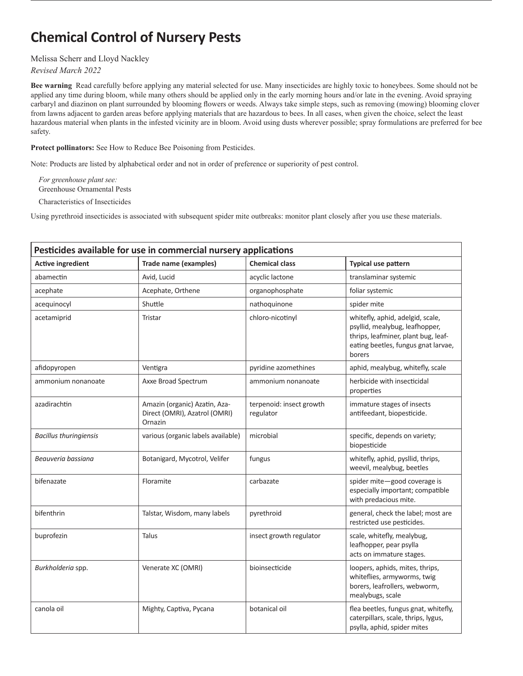## **Chemical Control of Nursery Pests**

## Melissa Scherr and Lloyd Nackley

## *Revised March 2022*

**Bee warning** Read carefully before applying any material selected for use. Many insecticides are highly toxic to honeybees. Some should not be applied any time during bloom, while many others should be applied only in the early morning hours and/or late in the evening. Avoid spraying carbaryl and diazinon on plant surrounded by blooming flowers or weeds. Always take simple steps, such as removing (mowing) blooming clover from lawns adjacent to garden areas before applying materials that are hazardous to bees. In all cases, when given the choice, select the least hazardous material when plants in the infested vicinity are in bloom. Avoid using dusts wherever possible; spray formulations are preferred for bee safety.

## **Protect pollinators:** See How to Reduce Bee Poisoning from Pesticides.

Note: Products are listed by alphabetical order and not in order of preference or superiority of pest control.

*For greenhouse plant see:*  Greenhouse Ornamental Pests

Characteristics of Insecticides

Using pyrethroid insecticides is associated with subsequent spider mite outbreaks: monitor plant closely after you use these materials.

| Pesticides available for use in commercial nursery applications |                                                                           |                                       |                                                                                                                                                            |
|-----------------------------------------------------------------|---------------------------------------------------------------------------|---------------------------------------|------------------------------------------------------------------------------------------------------------------------------------------------------------|
| <b>Active ingredient</b>                                        | <b>Trade name (examples)</b>                                              | <b>Chemical class</b>                 | <b>Typical use pattern</b>                                                                                                                                 |
| abamectin                                                       | Avid, Lucid                                                               | acyclic lactone                       | translaminar systemic                                                                                                                                      |
| acephate                                                        | Acephate, Orthene                                                         | organophosphate                       | foliar systemic                                                                                                                                            |
| acequinocyl                                                     | Shuttle                                                                   | nathoquinone                          | spider mite                                                                                                                                                |
| acetamiprid                                                     | Tristar                                                                   | chloro-nicotinyl                      | whitefly, aphid, adelgid, scale,<br>psyllid, mealybug, leafhopper,<br>thrips, leafminer, plant bug, leaf-<br>eating beetles, fungus gnat larvae,<br>borers |
| afidopyropen                                                    | Ventigra                                                                  | pyridine azomethines                  | aphid, mealybug, whitefly, scale                                                                                                                           |
| ammonium nonanoate                                              | Axxe Broad Spectrum                                                       | ammonium nonanoate                    | herbicide with insecticidal<br>properties                                                                                                                  |
| azadirachtin                                                    | Amazin (organic) Azatin, Aza-<br>Direct (OMRI), Azatrol (OMRI)<br>Ornazin | terpenoid: insect growth<br>regulator | immature stages of insects<br>antifeedant, biopesticide.                                                                                                   |
| <b>Bacillus thuringiensis</b>                                   | various (organic labels available)                                        | microbial                             | specific, depends on variety;<br>biopesticide                                                                                                              |
| Beauveria bassiana                                              | Botanigard, Mycotrol, Velifer                                             | fungus                                | whitefly, aphid, pysllid, thrips,<br>weevil, mealybug, beetles                                                                                             |
| bifenazate                                                      | Floramite                                                                 | carbazate                             | spider mite-good coverage is<br>especially important; compatible<br>with predacious mite.                                                                  |
| bifenthrin                                                      | Talstar, Wisdom, many labels                                              | pyrethroid                            | general, check the label; most are<br>restricted use pesticides.                                                                                           |
| buprofezin                                                      | Talus                                                                     | insect growth regulator               | scale, whitefly, mealybug,<br>leafhopper, pear psylla<br>acts on immature stages.                                                                          |
| Burkholderia spp.                                               | Venerate XC (OMRI)                                                        | bioinsecticide                        | loopers, aphids, mites, thrips,<br>whiteflies, armyworms, twig<br>borers, leafrollers, webworm,<br>mealybugs, scale                                        |
| canola oil                                                      | Mighty, Captiva, Pycana                                                   | botanical oil                         | flea beetles, fungus gnat, whitefly,<br>caterpillars, scale, thrips, lygus,<br>psylla, aphid, spider mites                                                 |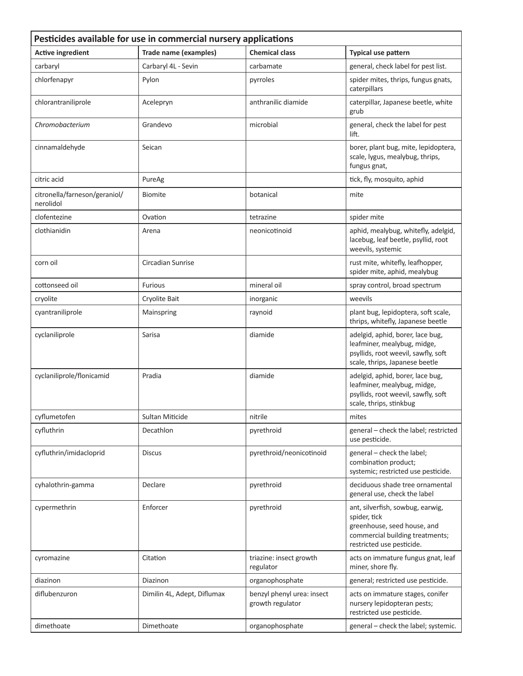| Pesticides available for use in commercial nursery applications |                              |                                                |                                                                                                                                                 |
|-----------------------------------------------------------------|------------------------------|------------------------------------------------|-------------------------------------------------------------------------------------------------------------------------------------------------|
| <b>Active ingredient</b>                                        | <b>Trade name (examples)</b> | <b>Chemical class</b>                          | Typical use pattern                                                                                                                             |
| carbaryl                                                        | Carbaryl 4L - Sevin          | carbamate                                      | general, check label for pest list.                                                                                                             |
| chlorfenapyr                                                    | Pylon                        | pyrroles                                       | spider mites, thrips, fungus gnats,<br>caterpillars                                                                                             |
| chlorantraniliprole                                             | Acelepryn                    | anthranilic diamide                            | caterpillar, Japanese beetle, white<br>grub                                                                                                     |
| Chromobacterium                                                 | Grandevo                     | microbial                                      | general, check the label for pest<br>lift.                                                                                                      |
| cinnamaldehyde                                                  | Seican                       |                                                | borer, plant bug, mite, lepidoptera,<br>scale, lygus, mealybug, thrips,<br>fungus gnat,                                                         |
| citric acid                                                     | PureAg                       |                                                | tick, fly, mosquito, aphid                                                                                                                      |
| citronella/farneson/geraniol/<br>nerolidol                      | <b>Biomite</b>               | botanical                                      | mite                                                                                                                                            |
| clofentezine                                                    | Ovation                      | tetrazine                                      | spider mite                                                                                                                                     |
| clothianidin                                                    | Arena                        | neonicotinoid                                  | aphid, mealybug, whitefly, adelgid,<br>lacebug, leaf beetle, psyllid, root<br>weevils, systemic                                                 |
| corn oil                                                        | Circadian Sunrise            |                                                | rust mite, whitefly, leafhopper,<br>spider mite, aphid, mealybug                                                                                |
| cottonseed oil                                                  | <b>Furious</b>               | mineral oil                                    | spray control, broad spectrum                                                                                                                   |
| cryolite                                                        | Cryolite Bait                | inorganic                                      | weevils                                                                                                                                         |
| cyantraniliprole                                                | Mainspring                   | raynoid                                        | plant bug, lepidoptera, soft scale,<br>thrips, whitefly, Japanese beetle                                                                        |
| cyclaniliprole                                                  | Sarisa                       | diamide                                        | adelgid, aphid, borer, lace bug,<br>leafminer, mealybug, midge,<br>psyllids, root weevil, sawfly, soft<br>scale, thrips, Japanese beetle        |
| cyclaniliprole/flonicamid                                       | Pradia                       | diamide                                        | adelgid, aphid, borer, lace bug,<br>leafminer, mealybug, midge,<br>psyllids, root weevil, sawfly, soft<br>scale, thrips, stinkbug               |
| cyflumetofen                                                    | <b>Sultan Miticide</b>       | nitrile                                        | mites                                                                                                                                           |
| cyfluthrin                                                      | Decathlon                    | pyrethroid                                     | general - check the label; restricted<br>use pesticide.                                                                                         |
| cyfluthrin/imidacloprid                                         | <b>Discus</b>                | pyrethroid/neonicotinoid                       | general - check the label;<br>combination product;<br>systemic; restricted use pesticide.                                                       |
| cyhalothrin-gamma                                               | Declare                      | pyrethroid                                     | deciduous shade tree ornamental<br>general use, check the label                                                                                 |
| cypermethrin                                                    | Enforcer                     | pyrethroid                                     | ant, silverfish, sowbug, earwig,<br>spider, tick<br>greenhouse, seed house, and<br>commercial building treatments;<br>restricted use pesticide. |
| cyromazine                                                      | Citation                     | triazine: insect growth<br>regulator           | acts on immature fungus gnat, leaf<br>miner, shore fly.                                                                                         |
| diazinon                                                        | Diazinon                     | organophosphate                                | general; restricted use pesticide.                                                                                                              |
| diflubenzuron                                                   | Dimilin 4L, Adept, Diflumax  | benzyl phenyl urea: insect<br>growth regulator | acts on immature stages, conifer<br>nursery lepidopteran pests;<br>restricted use pesticide.                                                    |
| dimethoate                                                      | Dimethoate                   | organophosphate                                | general - check the label; systemic.                                                                                                            |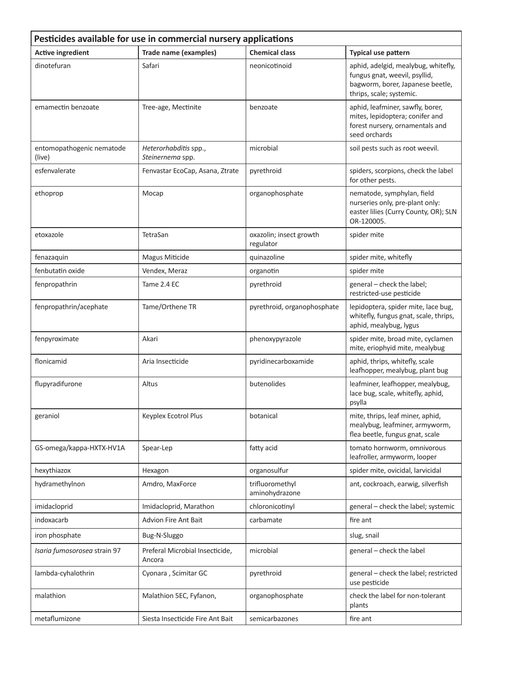| Pesticides available for use in commercial nursery applications |                                           |                                      |                                                                                                                                      |
|-----------------------------------------------------------------|-------------------------------------------|--------------------------------------|--------------------------------------------------------------------------------------------------------------------------------------|
| <b>Active ingredient</b>                                        | Trade name (examples)                     | <b>Chemical class</b>                | Typical use pattern                                                                                                                  |
| dinotefuran                                                     | Safari                                    | neonicotinoid                        | aphid, adelgid, mealybug, whitefly,<br>fungus gnat, weevil, psyllid,<br>bagworm, borer, Japanese beetle,<br>thrips, scale; systemic. |
| emamectin benzoate                                              | Tree-age, Mectinite                       | benzoate                             | aphid, leafminer, sawfly, borer,<br>mites, lepidoptera; conifer and<br>forest nursery, ornamentals and<br>seed orchards              |
| entomopathogenic nematode<br>(live)                             | Heterorhabditis spp.,<br>Steinernema spp. | microbial                            | soil pests such as root weevil.                                                                                                      |
| esfenvalerate                                                   | Fenvastar EcoCap, Asana, Ztrate           | pyrethroid                           | spiders, scorpions, check the label<br>for other pests.                                                                              |
| ethoprop                                                        | Mocap                                     | organophosphate                      | nematode, symphylan, field<br>nurseries only, pre-plant only:<br>easter lilies (Curry County, OR); SLN<br>OR-120005.                 |
| etoxazole                                                       | TetraSan                                  | oxazolin; insect growth<br>regulator | spider mite                                                                                                                          |
| fenazaquin                                                      | Magus Miticide                            | quinazoline                          | spider mite, whitefly                                                                                                                |
| fenbutatin oxide                                                | Vendex, Meraz                             | organotin                            | spider mite                                                                                                                          |
| fenpropathrin                                                   | Tame 2.4 EC                               | pyrethroid                           | general - check the label;<br>restricted-use pesticide                                                                               |
| fenpropathrin/acephate                                          | Tame/Orthene TR                           | pyrethroid, organophosphate          | lepidoptera, spider mite, lace bug,<br>whitefly, fungus gnat, scale, thrips,<br>aphid, mealybug, lygus                               |
| fenpyroximate                                                   | Akari                                     | phenoxypyrazole                      | spider mite, broad mite, cyclamen<br>mite, eriophyid mite, mealybug                                                                  |
| flonicamid                                                      | Aria Insecticide                          | pyridinecarboxamide                  | aphid, thrips, whitefly, scale<br>leafhopper, mealybug, plant bug                                                                    |
| flupyradifurone                                                 | Altus                                     | butenolides                          | leafminer, leafhopper, mealybug,<br>lace bug, scale, whitefly, aphid,<br>psylla                                                      |
| geraniol                                                        | Keyplex Ecotrol Plus                      | botanical                            | mite, thrips, leaf miner, aphid,<br>mealybug, leafminer, armyworm,<br>flea beetle, fungus gnat, scale                                |
| GS-omega/kappa-HXTX-HV1A                                        | Spear-Lep                                 | fatty acid                           | tomato hornworm, omnivorous<br>leafroller, armyworm, looper                                                                          |
| hexythiazox                                                     | Hexagon                                   | organosulfur                         | spider mite, ovicidal, larvicidal                                                                                                    |
| hydramethylnon                                                  | Amdro, MaxForce                           | trifluoromethyl<br>aminohydrazone    | ant, cockroach, earwig, silverfish                                                                                                   |
| imidacloprid                                                    | Imidacloprid, Marathon                    | chloronicotinyl                      | general - check the label; systemic                                                                                                  |
| indoxacarb                                                      | Advion Fire Ant Bait                      | carbamate                            | fire ant                                                                                                                             |
| iron phosphate                                                  | Bug-N-Sluggo                              |                                      | slug, snail                                                                                                                          |
| Isaria fumosorosea strain 97                                    | Preferal Microbial Insecticide,<br>Ancora | microbial                            | general - check the label                                                                                                            |
| lambda-cyhalothrin                                              | Cyonara, Scimitar GC                      | pyrethroid                           | general - check the label; restricted<br>use pesticide                                                                               |
| malathion                                                       | Malathion 5EC, Fyfanon,                   | organophosphate                      | check the label for non-tolerant<br>plants                                                                                           |
| metaflumizone                                                   | Siesta Insecticide Fire Ant Bait          | semicarbazones                       | fire ant                                                                                                                             |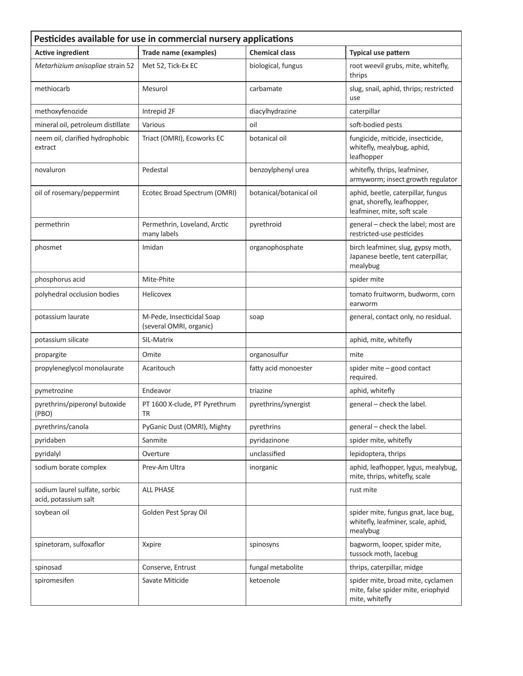| Pesticides available for use in commercial nursery applications |                                                      |                         |                                                                                                  |
|-----------------------------------------------------------------|------------------------------------------------------|-------------------------|--------------------------------------------------------------------------------------------------|
| <b>Active ingredient</b>                                        | <b>Trade name (examples)</b>                         | <b>Chemical class</b>   | <b>Typical use pattern</b>                                                                       |
| Metarhizium anisopliae strain 52                                | Met 52, Tick-Ex EC                                   | biological, fungus      | root weevil grubs, mite, whitefly,<br>thrips                                                     |
| methiocarb                                                      | Mesurol                                              | carbamate               | slug, snail, aphid, thrips; restricted<br>use                                                    |
| methoxyfenozide                                                 | Intrepid 2F                                          | diacylhydrazine         | caterpillar                                                                                      |
| mineral oil, petroleum distillate                               | Various                                              | oil                     | soft-bodied pests                                                                                |
| neem oil, clarified hydrophobic<br>extract                      | Triact (OMRI), Ecoworks EC                           | botanical oil           | fungicide, miticide, insecticide,<br>whitefly, mealybug, aphid,<br>leafhopper                    |
| novaluron                                                       | Pedestal                                             | benzoylphenyl urea      | whitefly, thrips, leafminer,<br>armyworm; insect growth regulator                                |
| oil of rosemary/peppermint                                      | Ecotec Broad Spectrum (OMRI)                         | botanical/botanical oil | aphid, beetle, caterpillar, fungus<br>gnat, shorefly, leafhopper,<br>leafminer, mite, soft scale |
| permethrin                                                      | Permethrin, Loveland, Arctic<br>many labels          | pyrethroid              | general - check the label; most are<br>restricted-use pesticides                                 |
| phosmet                                                         | Imidan                                               | organophosphate         | birch leafminer, slug, gypsy moth,<br>Japanese beetle, tent caterpillar,<br>mealybug             |
| phosphorus acid                                                 | Mite-Phite                                           |                         | spider mite                                                                                      |
| polyhedral occlusion bodies                                     | Helicovex                                            |                         | tomato fruitworm, budworm, corn<br>earworm                                                       |
| potassium laurate                                               | M-Pede, Insecticidal Soap<br>(several OMRI, organic) | soap                    | general, contact only, no residual.                                                              |
| potassium silicate                                              | SIL-Matrix                                           |                         | aphid, mite, whitefly                                                                            |
| propargite                                                      | Omite                                                | organosulfur            | mite                                                                                             |
| propyleneglycol monolaurate                                     | Acaritouch                                           | fatty acid monoester    | spider mite - good contact<br>required.                                                          |
| pymetrozine                                                     | Endeavor                                             | triazine                | aphid, whitefly                                                                                  |
| pyrethrins/piperonyl butoxide<br>(PBO)                          | PT 1600 X-clude, PT Pyrethrum<br>TR                  | pyrethrins/synergist    | general - check the label.                                                                       |
| pyrethrins/canola                                               | PyGanic Dust (OMRI), Mighty                          | pyrethrins              | general - check the label.                                                                       |
| pyridaben                                                       | Sanmite                                              | pyridazinone            | spider mite, whitefly                                                                            |
| pyridalyl                                                       | Overture                                             | unclassified            | lepidoptera, thrips                                                                              |
| sodium borate complex                                           | Prev-Am Ultra                                        | inorganic               | aphid, leafhopper, lygus, mealybug,<br>mite, thrips, whitefly, scale                             |
| sodium laurel sulfate, sorbic<br>acid, potassium salt           | <b>ALL PHASE</b>                                     |                         | rust mite                                                                                        |
| soybean oil                                                     | Golden Pest Spray Oil                                |                         | spider mite, fungus gnat, lace bug,<br>whitefly, leafminer, scale, aphid,<br>mealybug            |
| spinetoram, sulfoxaflor                                         | Xxpire                                               | spinosyns               | bagworm, looper, spider mite,<br>tussock moth, lacebug                                           |
| spinosad                                                        | Conserve, Entrust                                    | fungal metabolite       | thrips, caterpillar, midge                                                                       |
| spiromesifen                                                    | Savate Miticide                                      | ketoenole               | spider mite, broad mite, cyclamen<br>mite, false spider mite, eriophyid<br>mite, whitefly        |